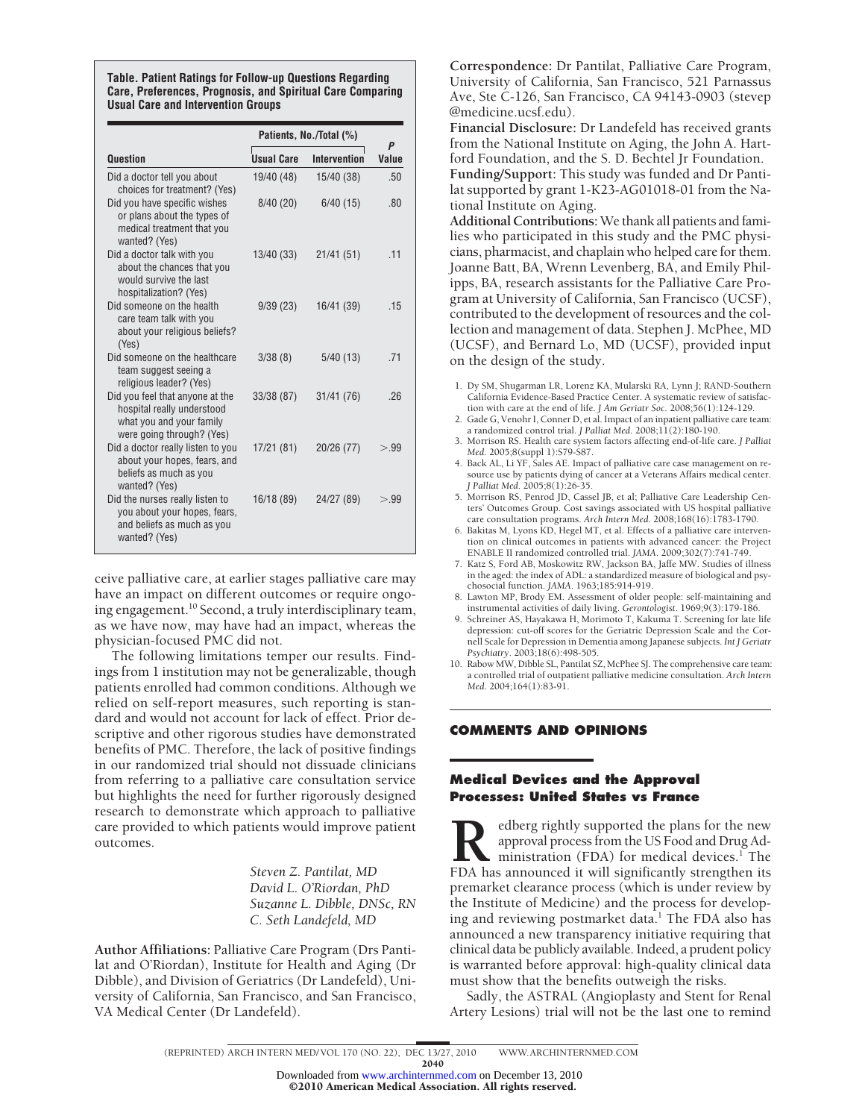**Table. Patient Ratings for Follow-up Questions Regarding Care, Preferences, Prognosis, and Spiritual Care Comparing Usual Care and Intervention Groups**

| <b>Question</b>                                                                                                        | Patients, No./Total (%) |              | P     |
|------------------------------------------------------------------------------------------------------------------------|-------------------------|--------------|-------|
|                                                                                                                        | Usual Care              | Intervention | Value |
| Did a doctor tell you about<br>choices for treatment? (Yes)                                                            | 19/40 (48)              | 15/40 (38)   | .50   |
| Did you have specific wishes<br>or plans about the types of<br>medical treatment that you<br>wanted? (Yes)             | 8/40(20)                | 6/40(15)     | .80   |
| Did a doctor talk with you<br>about the chances that you<br>would survive the last<br>hospitalization? (Yes)           | 13/40 (33)              | 21/41(51)    | .11   |
| Did someone on the health<br>care team talk with you<br>about your religious beliefs?<br>(Yes)                         | 9/39(23)                | 16/41 (39)   | .15   |
| Did someone on the healthcare<br>team suggest seeing a<br>religious leader? (Yes)                                      | 3/38(8)                 | 5/40(13)     | .71   |
| Did you feel that anyone at the<br>hospital really understood<br>what you and your family<br>were going through? (Yes) | 33/38 (87)              | 31/41 (76)   | 26    |
| Did a doctor really listen to you<br>about your hopes, fears, and<br>beliefs as much as you<br>wanted? (Yes)           | 17/21 (81)              | 20/26 (77)   | > 99  |
| Did the nurses really listen to<br>you about your hopes, fears,<br>and beliefs as much as you<br>wanted? (Yes)         | 16/18 (89)              | 24/27 (89)   | > 99  |

ceive palliative care, at earlier stages palliative care may have an impact on different outcomes or require ongoing engagement.<sup>10</sup> Second, a truly interdisciplinary team, as we have now, may have had an impact, whereas the physician-focused PMC did not.

The following limitations temper our results. Findings from 1 institution may not be generalizable, though patients enrolled had common conditions. Although we relied on self-report measures, such reporting is standard and would not account for lack of effect. Prior descriptive and other rigorous studies have demonstrated benefits of PMC. Therefore, the lack of positive findings in our randomized trial should not dissuade clinicians from referring to a palliative care consultation service but highlights the need for further rigorously designed research to demonstrate which approach to palliative care provided to which patients would improve patient outcomes.

> *Steven Z. Pantilat, MD David L. O'Riordan, PhD Suzanne L. Dibble, DNSc, RN C. Seth Landefeld, MD*

**Author Affiliations:** Palliative Care Program (Drs Pantilat and O'Riordan), Institute for Health and Aging (Dr Dibble), and Division of Geriatrics (Dr Landefeld), University of California, San Francisco, and San Francisco, VA Medical Center (Dr Landefeld).

**Correspondence:** Dr Pantilat, Palliative Care Program, University of California, San Francisco, 521 Parnassus Ave, Ste C-126, San Francisco, CA 94143-0903 (stevep @medicine.ucsf.edu).

**Financial Disclosure:** Dr Landefeld has received grants from the National Institute on Aging, the John A. Hartford Foundation, and the S. D. Bechtel Jr Foundation. **Funding/Support:** This study was funded and Dr Pantilat supported by grant 1-K23-AG01018-01 from the National Institute on Aging.

**Additional Contributions:**We thank all patients and families who participated in this study and the PMC physicians, pharmacist, and chaplain who helped care for them. Joanne Batt, BA, Wrenn Levenberg, BA, and Emily Philipps, BA, research assistants for the Palliative Care Program at University of California, San Francisco (UCSF), contributed to the development of resources and the collection and management of data. Stephen J. McPhee, MD (UCSF), and Bernard Lo, MD (UCSF), provided input on the design of the study.

- 1. Dy SM, Shugarman LR, Lorenz KA, Mularski RA, Lynn J; RAND-Southern California Evidence-Based Practice Center. A systematic review of satisfaction with care at the end of life. *J Am Geriatr Soc*. 2008;56(1):124-129.
- 2. Gade G, Venohr I, Conner D, et al. Impact of an inpatient palliative care team: a randomized control trial. *J Palliat Med*. 2008;11(2):180-190.
- 3. Morrison RS. Health care system factors affecting end-of-life care. *J Palliat Med*. 2005;8(suppl 1):S79-S87.
- 4. Back AL, Li YF, Sales AE. Impact of palliative care case management on re-source use by patients dying of cancer at a Veterans Affairs medical center. *J Palliat Med*. 2005;8(1):26-35.
- 5. Morrison RS, Penrod JD, Cassel JB, et al; Palliative Care Leadership Centers' Outcomes Group. Cost savings associated with US hospital palliative care consultation programs. *Arch Intern Med*. 2008;168(16):1783-1790.
- 6. Bakitas M, Lyons KD, Hegel MT, et al. Effects of a palliative care intervention on clinical outcomes in patients with advanced cancer: the Project ENABLE II randomized controlled trial. *JAMA*. 2009;302(7):741-749.
- 7. Katz S, Ford AB, Moskowitz RW, Jackson BA, Jaffe MW. Studies of illness in the aged: the index of ADL: a standardized measure of biological and psychosocial function. *JAMA*. 1963;185:914-919.
- 8. Lawton MP, Brody EM. Assessment of older people: self-maintaining and instrumental activities of daily living. *Gerontologist*. 1969;9(3):179-186.
- 9. Schreiner AS, Hayakawa H, Morimoto T, Kakuma T. Screening for late life depression: cut-off scores for the Geriatric Depression Scale and the Cornell Scale for Depression in Dementia among Japanese subjects. *Int J Geriatr Psychiatry*. 2003;18(6):498-505.
- 10. Rabow MW, Dibble SL, Pantilat SZ, McPhee SJ. The comprehensive care team: a controlled trial of outpatient palliative medicine consultation. *Arch Intern Med*. 2004;164(1):83-91.

# **COMMENTS AND OPINIONS**

## **Medical Devices and the Approval Processes: United States vs France**

**Redberg rightly supported the plans for the new approval process from the US Food and Drug Administration (FDA) for medical devices.<sup>1</sup> The FDA has announced it will significantly strengthen its** approval process from the US Food and Drug Administration (FDA) for medical devices.<sup>1</sup> The FDA has announced it will significantly strengthen its premarket clearance process (which is under review by the Institute of Medicine) and the process for developing and reviewing postmarket data.<sup>1</sup> The FDA also has announced a new transparency initiative requiring that clinical data be publicly available. Indeed, a prudent policy is warranted before approval: high-quality clinical data must show that the benefits outweigh the risks.

Sadly, the ASTRAL (Angioplasty and Stent for Renal Artery Lesions) trial will not be the last one to remind

2040

©2010 American Medical Association. All rights reserved. Downloaded from [www.archinternmed.com](http://www.archinternmed.com) on December 13, 2010

<sup>(</sup>REPRINTED) ARCH INTERN MED/ VOL 170 (NO. 22), DEC 13/27, 2010 WWW.ARCHINTERNMED.COM